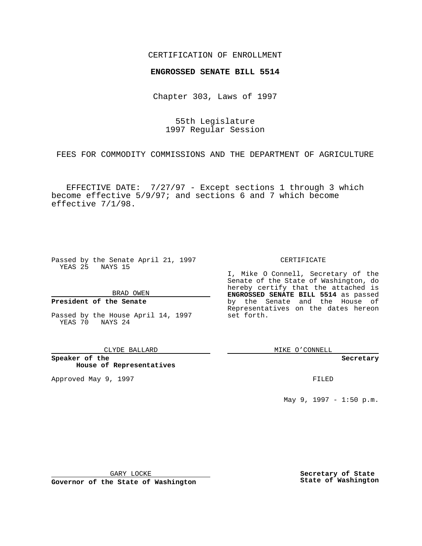## CERTIFICATION OF ENROLLMENT

## **ENGROSSED SENATE BILL 5514**

Chapter 303, Laws of 1997

55th Legislature 1997 Regular Session

FEES FOR COMMODITY COMMISSIONS AND THE DEPARTMENT OF AGRICULTURE

EFFECTIVE DATE: 7/27/97 - Except sections 1 through 3 which become effective 5/9/97; and sections 6 and 7 which become effective 7/1/98.

Passed by the Senate April 21, 1997 YEAS 25 NAYS 15

BRAD OWEN

#### **President of the Senate**

Passed by the House April 14, 1997 YEAS 70 NAYS 24

CLYDE BALLARD

**Speaker of the House of Representatives**

Approved May 9, 1997 **FILED** 

CERTIFICATE

I, Mike O Connell, Secretary of the Senate of the State of Washington, do hereby certify that the attached is **ENGROSSED SENATE BILL 5514** as passed by the Senate and the House of Representatives on the dates hereon set forth.

MIKE O'CONNELL

**Secretary**

May 9, 1997 - 1:50 p.m.

GARY LOCKE

**Governor of the State of Washington**

**Secretary of State State of Washington**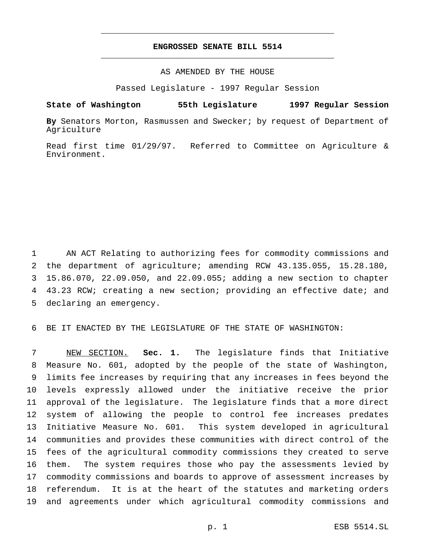# **ENGROSSED SENATE BILL 5514** \_\_\_\_\_\_\_\_\_\_\_\_\_\_\_\_\_\_\_\_\_\_\_\_\_\_\_\_\_\_\_\_\_\_\_\_\_\_\_\_\_\_\_\_\_\_\_

\_\_\_\_\_\_\_\_\_\_\_\_\_\_\_\_\_\_\_\_\_\_\_\_\_\_\_\_\_\_\_\_\_\_\_\_\_\_\_\_\_\_\_\_\_\_\_

## AS AMENDED BY THE HOUSE

Passed Legislature - 1997 Regular Session

**State of Washington 55th Legislature 1997 Regular Session**

**By** Senators Morton, Rasmussen and Swecker; by request of Department of Agriculture

Read first time 01/29/97. Referred to Committee on Agriculture & Environment.

 AN ACT Relating to authorizing fees for commodity commissions and the department of agriculture; amending RCW 43.135.055, 15.28.180, 15.86.070, 22.09.050, and 22.09.055; adding a new section to chapter 43.23 RCW; creating a new section; providing an effective date; and declaring an emergency.

BE IT ENACTED BY THE LEGISLATURE OF THE STATE OF WASHINGTON:

 NEW SECTION. **Sec. 1.** The legislature finds that Initiative Measure No. 601, adopted by the people of the state of Washington, limits fee increases by requiring that any increases in fees beyond the levels expressly allowed under the initiative receive the prior approval of the legislature. The legislature finds that a more direct system of allowing the people to control fee increases predates Initiative Measure No. 601. This system developed in agricultural communities and provides these communities with direct control of the fees of the agricultural commodity commissions they created to serve them. The system requires those who pay the assessments levied by commodity commissions and boards to approve of assessment increases by referendum. It is at the heart of the statutes and marketing orders and agreements under which agricultural commodity commissions and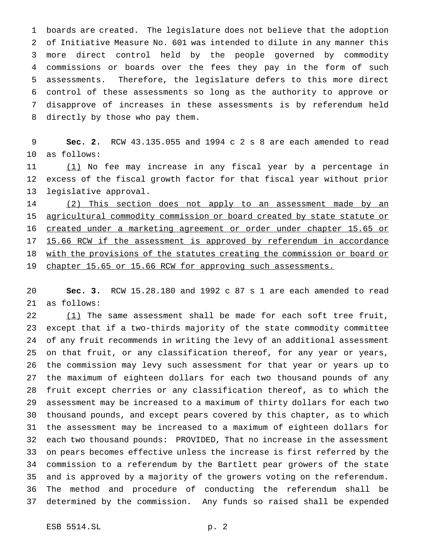boards are created. The legislature does not believe that the adoption of Initiative Measure No. 601 was intended to dilute in any manner this more direct control held by the people governed by commodity commissions or boards over the fees they pay in the form of such assessments. Therefore, the legislature defers to this more direct control of these assessments so long as the authority to approve or disapprove of increases in these assessments is by referendum held directly by those who pay them.

 **Sec. 2.** RCW 43.135.055 and 1994 c 2 s 8 are each amended to read as follows:

11 (1) No fee may increase in any fiscal year by a percentage in excess of the fiscal growth factor for that fiscal year without prior legislative approval.

 (2) This section does not apply to an assessment made by an 15 agricultural commodity commission or board created by state statute or 16 created under a marketing agreement or order under chapter 15.65 or 17 15.66 RCW if the assessment is approved by referendum in accordance 18 with the provisions of the statutes creating the commission or board or 19 chapter 15.65 or 15.66 RCW for approving such assessments.

 **Sec. 3.** RCW 15.28.180 and 1992 c 87 s 1 are each amended to read as follows:

 $(1)$  The same assessment shall be made for each soft tree fruit, except that if a two-thirds majority of the state commodity committee of any fruit recommends in writing the levy of an additional assessment on that fruit, or any classification thereof, for any year or years, the commission may levy such assessment for that year or years up to the maximum of eighteen dollars for each two thousand pounds of any fruit except cherries or any classification thereof, as to which the assessment may be increased to a maximum of thirty dollars for each two thousand pounds, and except pears covered by this chapter, as to which the assessment may be increased to a maximum of eighteen dollars for each two thousand pounds: PROVIDED, That no increase in the assessment on pears becomes effective unless the increase is first referred by the commission to a referendum by the Bartlett pear growers of the state and is approved by a majority of the growers voting on the referendum. The method and procedure of conducting the referendum shall be determined by the commission. Any funds so raised shall be expended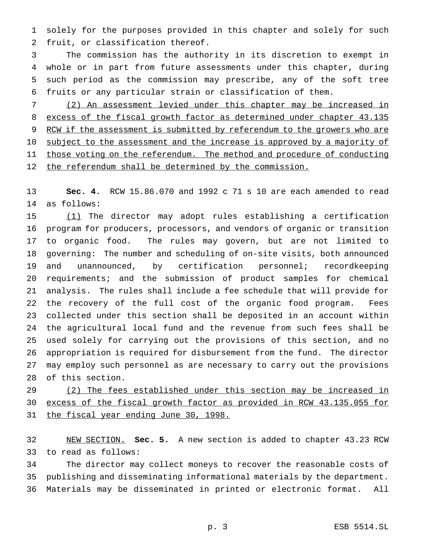solely for the purposes provided in this chapter and solely for such fruit, or classification thereof.

 The commission has the authority in its discretion to exempt in whole or in part from future assessments under this chapter, during such period as the commission may prescribe, any of the soft tree fruits or any particular strain or classification of them.

 (2) An assessment levied under this chapter may be increased in excess of the fiscal growth factor as determined under chapter 43.135 9 RCW if the assessment is submitted by referendum to the growers who are 10 subject to the assessment and the increase is approved by a majority of 11 those voting on the referendum. The method and procedure of conducting 12 the referendum shall be determined by the commission.

 **Sec. 4.** RCW 15.86.070 and 1992 c 71 s 10 are each amended to read as follows:

 (1) The director may adopt rules establishing a certification program for producers, processors, and vendors of organic or transition to organic food. The rules may govern, but are not limited to governing: The number and scheduling of on-site visits, both announced and unannounced, by certification personnel; recordkeeping requirements; and the submission of product samples for chemical analysis. The rules shall include a fee schedule that will provide for the recovery of the full cost of the organic food program. Fees collected under this section shall be deposited in an account within the agricultural local fund and the revenue from such fees shall be used solely for carrying out the provisions of this section, and no appropriation is required for disbursement from the fund. The director may employ such personnel as are necessary to carry out the provisions of this section.

 (2) The fees established under this section may be increased in excess of the fiscal growth factor as provided in RCW 43.135.055 for 31 the fiscal year ending June 30, 1998.

 NEW SECTION. **Sec. 5.** A new section is added to chapter 43.23 RCW to read as follows:

 The director may collect moneys to recover the reasonable costs of publishing and disseminating informational materials by the department. Materials may be disseminated in printed or electronic format. All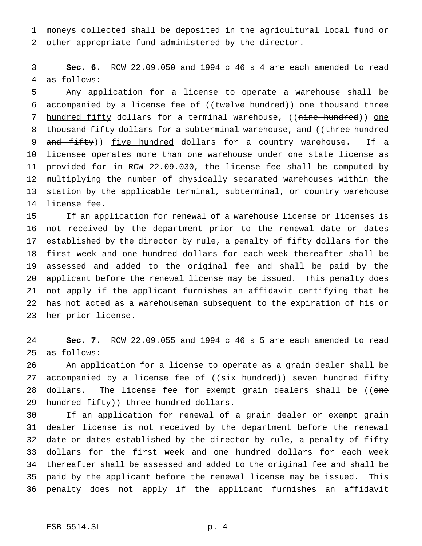moneys collected shall be deposited in the agricultural local fund or other appropriate fund administered by the director.

 **Sec. 6.** RCW 22.09.050 and 1994 c 46 s 4 are each amended to read as follows:

 Any application for a license to operate a warehouse shall be 6 accompanied by a license fee of ((twelve hundred)) one thousand three 7 hundred fifty dollars for a terminal warehouse, ((nine hundred)) one 8 thousand fifty dollars for a subterminal warehouse, and ((three hundred 9 and fifty)) five hundred dollars for a country warehouse. If a licensee operates more than one warehouse under one state license as provided for in RCW 22.09.030, the license fee shall be computed by multiplying the number of physically separated warehouses within the station by the applicable terminal, subterminal, or country warehouse license fee.

 If an application for renewal of a warehouse license or licenses is not received by the department prior to the renewal date or dates established by the director by rule, a penalty of fifty dollars for the first week and one hundred dollars for each week thereafter shall be assessed and added to the original fee and shall be paid by the applicant before the renewal license may be issued. This penalty does not apply if the applicant furnishes an affidavit certifying that he has not acted as a warehouseman subsequent to the expiration of his or her prior license.

 **Sec. 7.** RCW 22.09.055 and 1994 c 46 s 5 are each amended to read as follows:

 An application for a license to operate as a grain dealer shall be 27 accompanied by a license fee of ((<del>six hundred</del>)) <u>seven hundred fifty</u> 28 dollars. The license fee for exempt grain dealers shall be ((one 29 hundred fifty)) three hundred dollars.

 If an application for renewal of a grain dealer or exempt grain dealer license is not received by the department before the renewal date or dates established by the director by rule, a penalty of fifty dollars for the first week and one hundred dollars for each week thereafter shall be assessed and added to the original fee and shall be paid by the applicant before the renewal license may be issued. This penalty does not apply if the applicant furnishes an affidavit